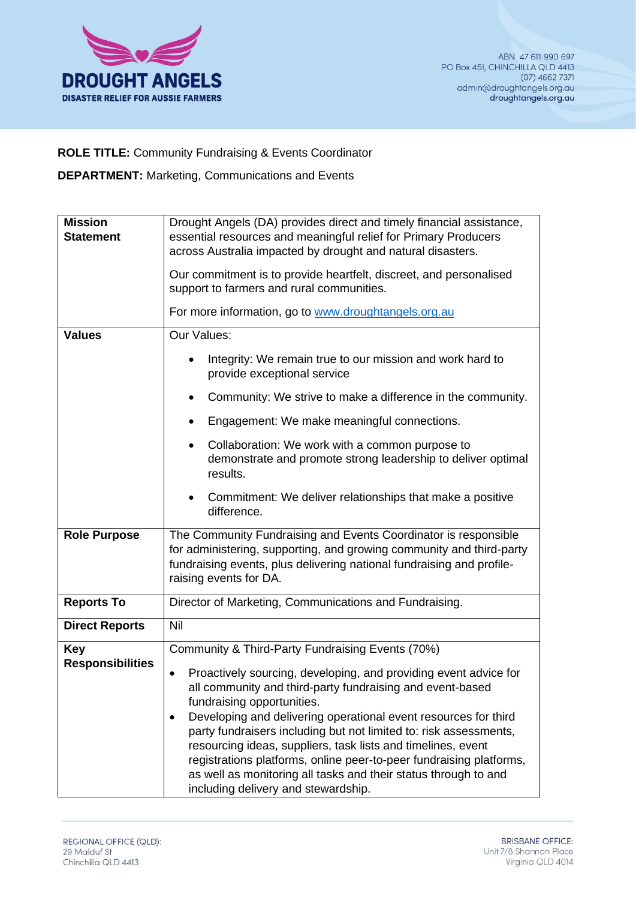

**ROLE TITLE:** Community Fundraising & Events Coordinator

**DEPARTMENT:** Marketing, Communications and Events

| <b>Mission</b><br><b>Statement</b>    | Drought Angels (DA) provides direct and timely financial assistance,<br>essential resources and meaningful relief for Primary Producers<br>across Australia impacted by drought and natural disasters.                                                                                                                                                                                                                                                                                                                                                    |
|---------------------------------------|-----------------------------------------------------------------------------------------------------------------------------------------------------------------------------------------------------------------------------------------------------------------------------------------------------------------------------------------------------------------------------------------------------------------------------------------------------------------------------------------------------------------------------------------------------------|
|                                       | Our commitment is to provide heartfelt, discreet, and personalised<br>support to farmers and rural communities.                                                                                                                                                                                                                                                                                                                                                                                                                                           |
|                                       | For more information, go to www.droughtangels.org.au                                                                                                                                                                                                                                                                                                                                                                                                                                                                                                      |
| <b>Values</b>                         | Our Values:                                                                                                                                                                                                                                                                                                                                                                                                                                                                                                                                               |
|                                       | Integrity: We remain true to our mission and work hard to<br>provide exceptional service                                                                                                                                                                                                                                                                                                                                                                                                                                                                  |
|                                       | Community: We strive to make a difference in the community.                                                                                                                                                                                                                                                                                                                                                                                                                                                                                               |
|                                       | Engagement: We make meaningful connections.                                                                                                                                                                                                                                                                                                                                                                                                                                                                                                               |
|                                       | Collaboration: We work with a common purpose to<br>٠<br>demonstrate and promote strong leadership to deliver optimal<br>results.                                                                                                                                                                                                                                                                                                                                                                                                                          |
|                                       | Commitment: We deliver relationships that make a positive<br>difference.                                                                                                                                                                                                                                                                                                                                                                                                                                                                                  |
| <b>Role Purpose</b>                   | The Community Fundraising and Events Coordinator is responsible<br>for administering, supporting, and growing community and third-party<br>fundraising events, plus delivering national fundraising and profile-<br>raising events for DA.                                                                                                                                                                                                                                                                                                                |
| <b>Reports To</b>                     | Director of Marketing, Communications and Fundraising.                                                                                                                                                                                                                                                                                                                                                                                                                                                                                                    |
| <b>Direct Reports</b>                 | Nil                                                                                                                                                                                                                                                                                                                                                                                                                                                                                                                                                       |
| <b>Key</b><br><b>Responsibilities</b> | Community & Third-Party Fundraising Events (70%)                                                                                                                                                                                                                                                                                                                                                                                                                                                                                                          |
|                                       | Proactively sourcing, developing, and providing event advice for<br>all community and third-party fundraising and event-based<br>fundraising opportunities.<br>Developing and delivering operational event resources for third<br>٠<br>party fundraisers including but not limited to: risk assessments,<br>resourcing ideas, suppliers, task lists and timelines, event<br>registrations platforms, online peer-to-peer fundraising platforms,<br>as well as monitoring all tasks and their status through to and<br>including delivery and stewardship. |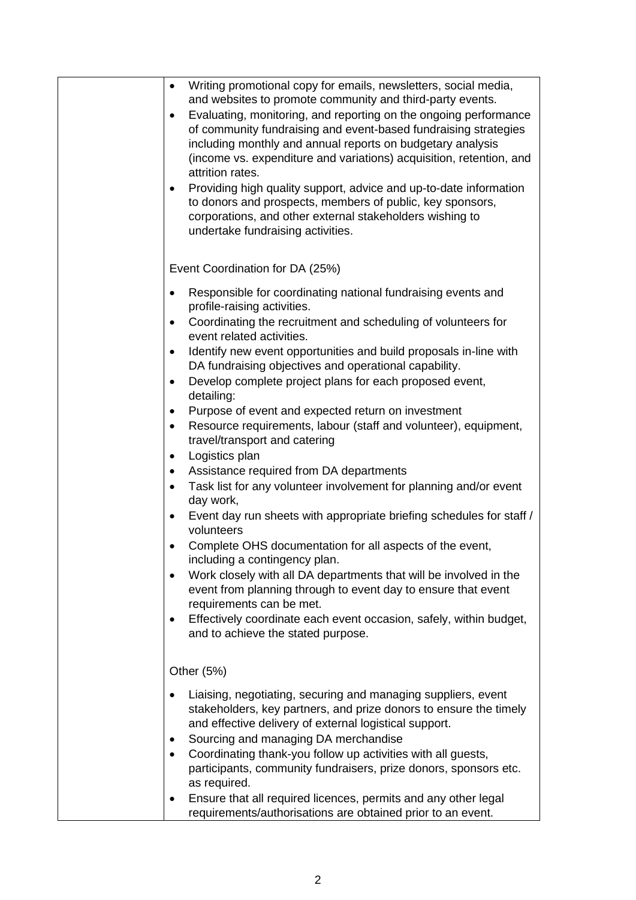| $\bullet$<br>$\bullet$<br>$\bullet$                                                                                                         |
|---------------------------------------------------------------------------------------------------------------------------------------------|
| Event Coordination for DA (25%)                                                                                                             |
| $\bullet$<br>$\bullet$<br>$\bullet$<br>$\bullet$<br>$\bullet$<br>$\bullet$<br>$\bullet$<br>$\bullet$<br>$\bullet$<br>$\bullet$<br>$\bullet$ |
|                                                                                                                                             |
| Other (5%)                                                                                                                                  |
| $\bullet$<br>٠                                                                                                                              |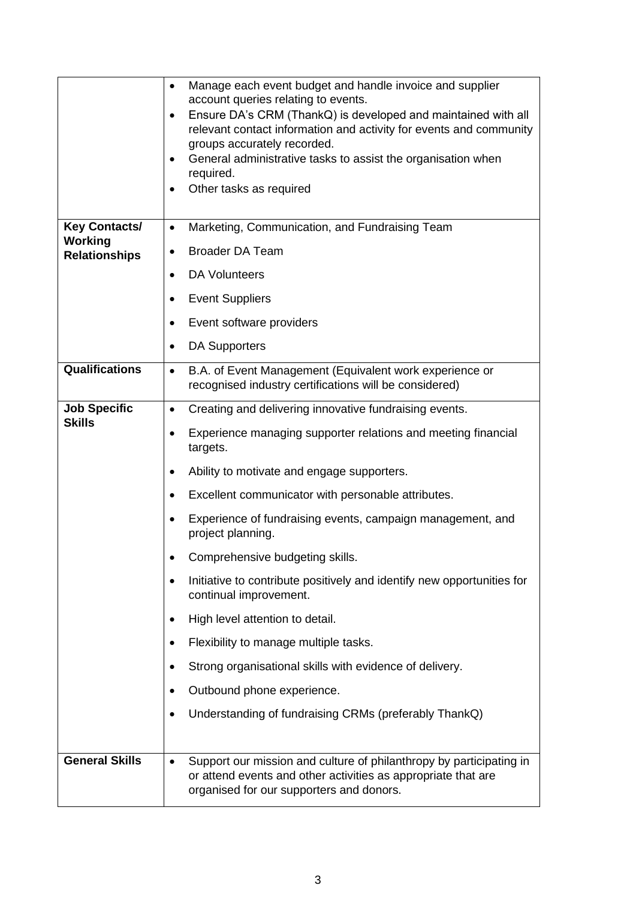|                                      | Manage each event budget and handle invoice and supplier<br>٠<br>account queries relating to events.<br>Ensure DA's CRM (ThankQ) is developed and maintained with all<br>relevant contact information and activity for events and community<br>groups accurately recorded.<br>General administrative tasks to assist the organisation when<br>required.<br>Other tasks as required |
|--------------------------------------|------------------------------------------------------------------------------------------------------------------------------------------------------------------------------------------------------------------------------------------------------------------------------------------------------------------------------------------------------------------------------------|
| <b>Key Contacts/</b>                 | Marketing, Communication, and Fundraising Team<br>٠                                                                                                                                                                                                                                                                                                                                |
| Working<br><b>Relationships</b>      | <b>Broader DA Team</b>                                                                                                                                                                                                                                                                                                                                                             |
|                                      | <b>DA Volunteers</b>                                                                                                                                                                                                                                                                                                                                                               |
|                                      | <b>Event Suppliers</b><br>٠                                                                                                                                                                                                                                                                                                                                                        |
|                                      | Event software providers<br>٠                                                                                                                                                                                                                                                                                                                                                      |
|                                      | <b>DA Supporters</b>                                                                                                                                                                                                                                                                                                                                                               |
| Qualifications                       | B.A. of Event Management (Equivalent work experience or<br>$\bullet$<br>recognised industry certifications will be considered)                                                                                                                                                                                                                                                     |
| <b>Job Specific</b><br><b>Skills</b> | Creating and delivering innovative fundraising events.<br>$\bullet$                                                                                                                                                                                                                                                                                                                |
|                                      | Experience managing supporter relations and meeting financial<br>٠<br>targets.                                                                                                                                                                                                                                                                                                     |
|                                      | Ability to motivate and engage supporters.                                                                                                                                                                                                                                                                                                                                         |
|                                      | Excellent communicator with personable attributes.                                                                                                                                                                                                                                                                                                                                 |
|                                      | Experience of fundraising events, campaign management, and<br>project planning.                                                                                                                                                                                                                                                                                                    |
|                                      | Comprehensive budgeting skills.                                                                                                                                                                                                                                                                                                                                                    |
|                                      | Initiative to contribute positively and identify new opportunities for<br>continual improvement.                                                                                                                                                                                                                                                                                   |
|                                      | High level attention to detail.                                                                                                                                                                                                                                                                                                                                                    |
|                                      | Flexibility to manage multiple tasks.                                                                                                                                                                                                                                                                                                                                              |
|                                      | Strong organisational skills with evidence of delivery.                                                                                                                                                                                                                                                                                                                            |
|                                      | Outbound phone experience.                                                                                                                                                                                                                                                                                                                                                         |
|                                      | Understanding of fundraising CRMs (preferably ThankQ)                                                                                                                                                                                                                                                                                                                              |
| <b>General Skills</b>                | Support our mission and culture of philanthropy by participating in<br>or attend events and other activities as appropriate that are<br>organised for our supporters and donors.                                                                                                                                                                                                   |